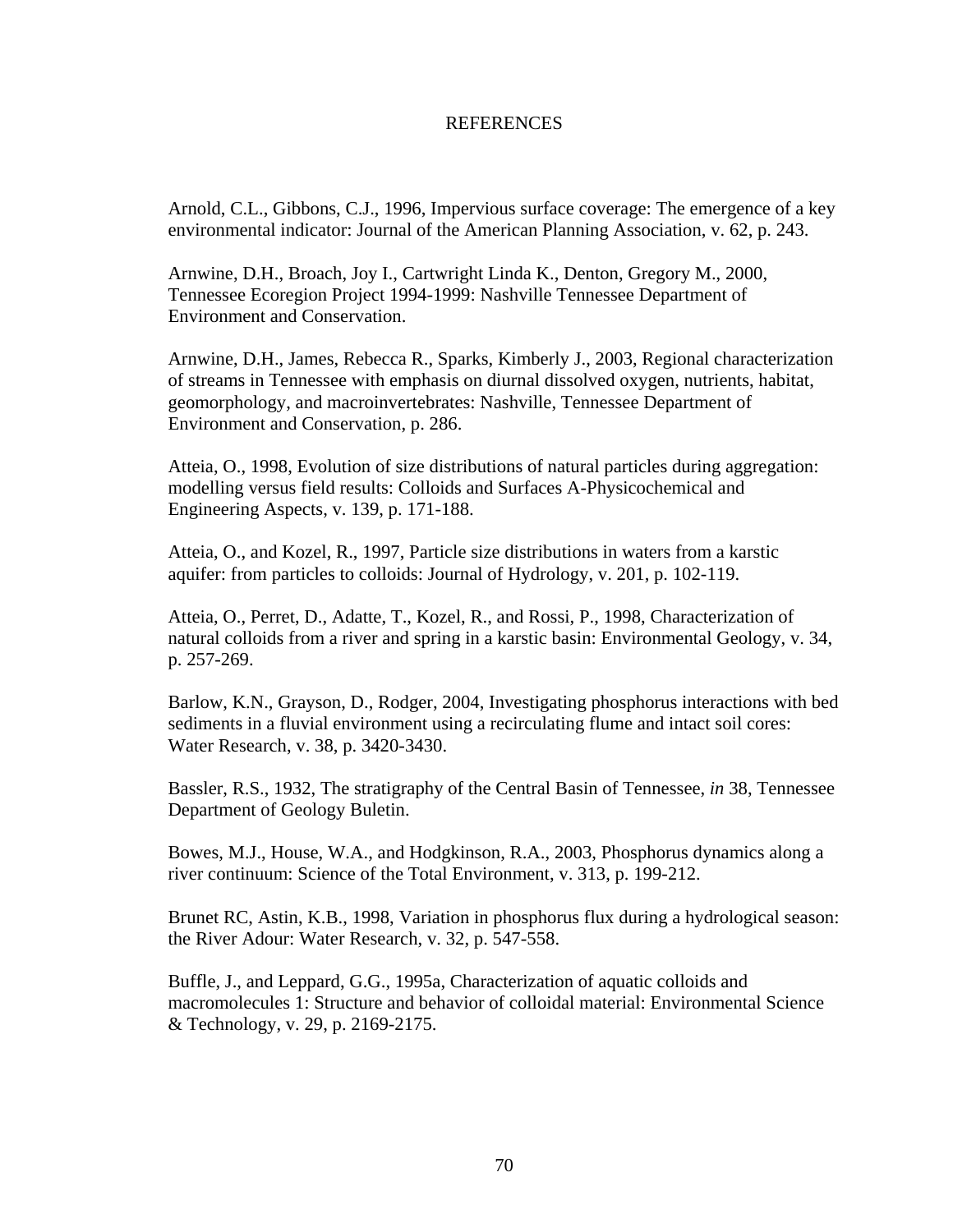## **REFERENCES**

Arnold, C.L., Gibbons, C.J., 1996, Impervious surface coverage: The emergence of a key environmental indicator: Journal of the American Planning Association, v. 62, p. 243.

Arnwine, D.H., Broach, Joy I., Cartwright Linda K., Denton, Gregory M., 2000, Tennessee Ecoregion Project 1994-1999: Nashville Tennessee Department of Environment and Conservation.

Arnwine, D.H., James, Rebecca R., Sparks, Kimberly J., 2003, Regional characterization of streams in Tennessee with emphasis on diurnal dissolved oxygen, nutrients, habitat, geomorphology, and macroinvertebrates: Nashville, Tennessee Department of Environment and Conservation, p. 286.

Atteia, O., 1998, Evolution of size distributions of natural particles during aggregation: modelling versus field results: Colloids and Surfaces A-Physicochemical and Engineering Aspects, v. 139, p. 171-188.

Atteia, O., and Kozel, R., 1997, Particle size distributions in waters from a karstic aquifer: from particles to colloids: Journal of Hydrology, v. 201, p. 102-119.

Atteia, O., Perret, D., Adatte, T., Kozel, R., and Rossi, P., 1998, Characterization of natural colloids from a river and spring in a karstic basin: Environmental Geology, v. 34, p. 257-269.

Barlow, K.N., Grayson, D., Rodger, 2004, Investigating phosphorus interactions with bed sediments in a fluvial environment using a recirculating flume and intact soil cores: Water Research, v. 38, p. 3420-3430.

Bassler, R.S., 1932, The stratigraphy of the Central Basin of Tennessee, *in* 38, Tennessee Department of Geology Buletin.

Bowes, M.J., House, W.A., and Hodgkinson, R.A., 2003, Phosphorus dynamics along a river continuum: Science of the Total Environment, v. 313, p. 199-212.

Brunet RC, Astin, K.B., 1998, Variation in phosphorus flux during a hydrological season: the River Adour: Water Research, v. 32, p. 547-558.

Buffle, J., and Leppard, G.G., 1995a, Characterization of aquatic colloids and macromolecules 1: Structure and behavior of colloidal material: Environmental Science & Technology, v. 29, p. 2169-2175.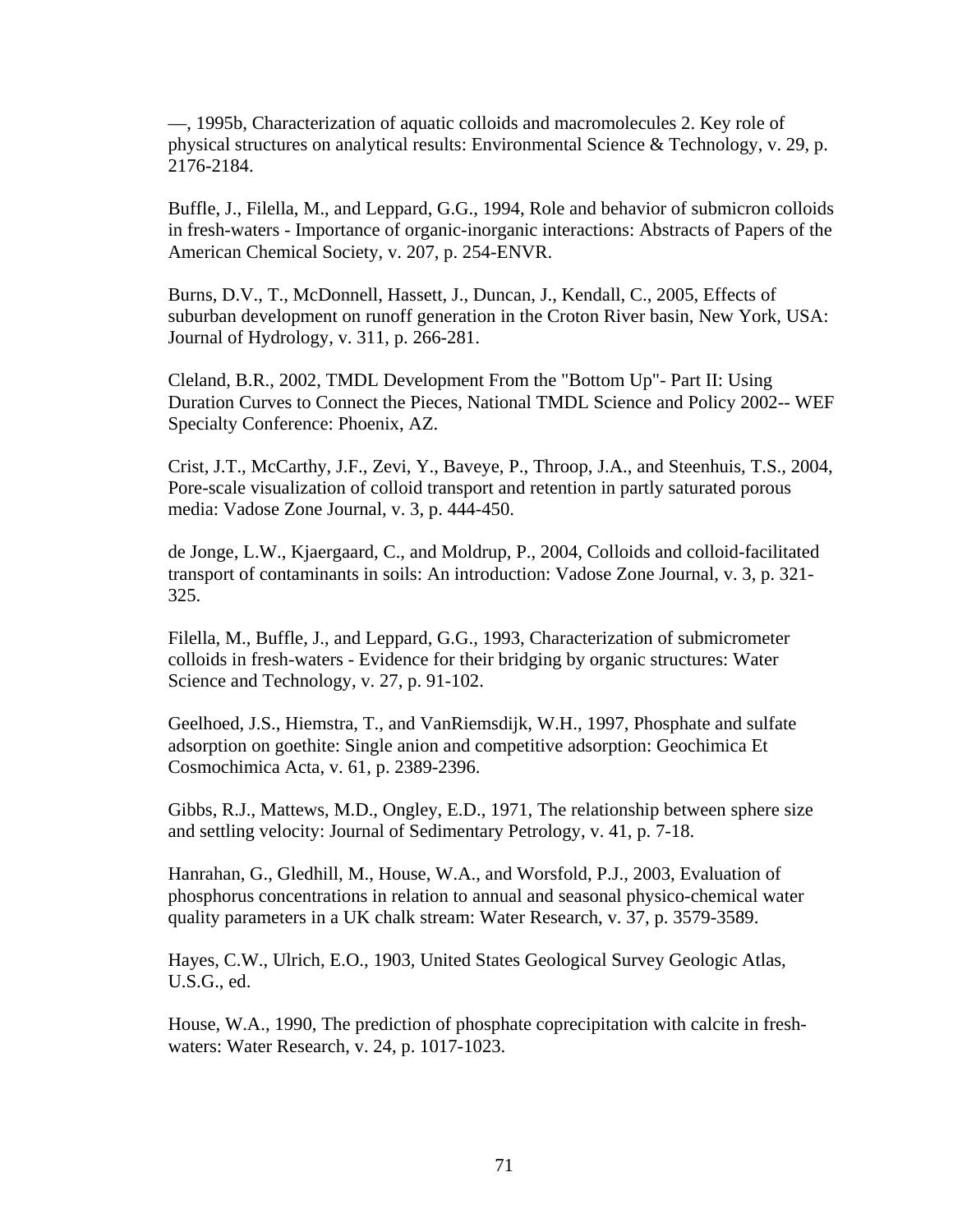—, 1995b, Characterization of aquatic colloids and macromolecules 2. Key role of physical structures on analytical results: Environmental Science & Technology, v. 29, p. 2176-2184.

Buffle, J., Filella, M., and Leppard, G.G., 1994, Role and behavior of submicron colloids in fresh-waters - Importance of organic-inorganic interactions: Abstracts of Papers of the American Chemical Society, v. 207, p. 254-ENVR.

Burns, D.V., T., McDonnell, Hassett, J., Duncan, J., Kendall, C., 2005, Effects of suburban development on runoff generation in the Croton River basin, New York, USA: Journal of Hydrology, v. 311, p. 266-281.

Cleland, B.R., 2002, TMDL Development From the "Bottom Up"- Part II: Using Duration Curves to Connect the Pieces, National TMDL Science and Policy 2002-- WEF Specialty Conference: Phoenix, AZ.

Crist, J.T., McCarthy, J.F., Zevi, Y., Baveye, P., Throop, J.A., and Steenhuis, T.S., 2004, Pore-scale visualization of colloid transport and retention in partly saturated porous media: Vadose Zone Journal, v. 3, p. 444-450.

de Jonge, L.W., Kjaergaard, C., and Moldrup, P., 2004, Colloids and colloid-facilitated transport of contaminants in soils: An introduction: Vadose Zone Journal, v. 3, p. 321- 325.

Filella, M., Buffle, J., and Leppard, G.G., 1993, Characterization of submicrometer colloids in fresh-waters - Evidence for their bridging by organic structures: Water Science and Technology, v. 27, p. 91-102.

Geelhoed, J.S., Hiemstra, T., and VanRiemsdijk, W.H., 1997, Phosphate and sulfate adsorption on goethite: Single anion and competitive adsorption: Geochimica Et Cosmochimica Acta, v. 61, p. 2389-2396.

Gibbs, R.J., Mattews, M.D., Ongley, E.D., 1971, The relationship between sphere size and settling velocity: Journal of Sedimentary Petrology, v. 41, p. 7-18.

Hanrahan, G., Gledhill, M., House, W.A., and Worsfold, P.J., 2003, Evaluation of phosphorus concentrations in relation to annual and seasonal physico-chemical water quality parameters in a UK chalk stream: Water Research, v. 37, p. 3579-3589.

Hayes, C.W., Ulrich, E.O., 1903, United States Geological Survey Geologic Atlas, U.S.G., ed.

House, W.A., 1990, The prediction of phosphate coprecipitation with calcite in freshwaters: Water Research, v. 24, p. 1017-1023.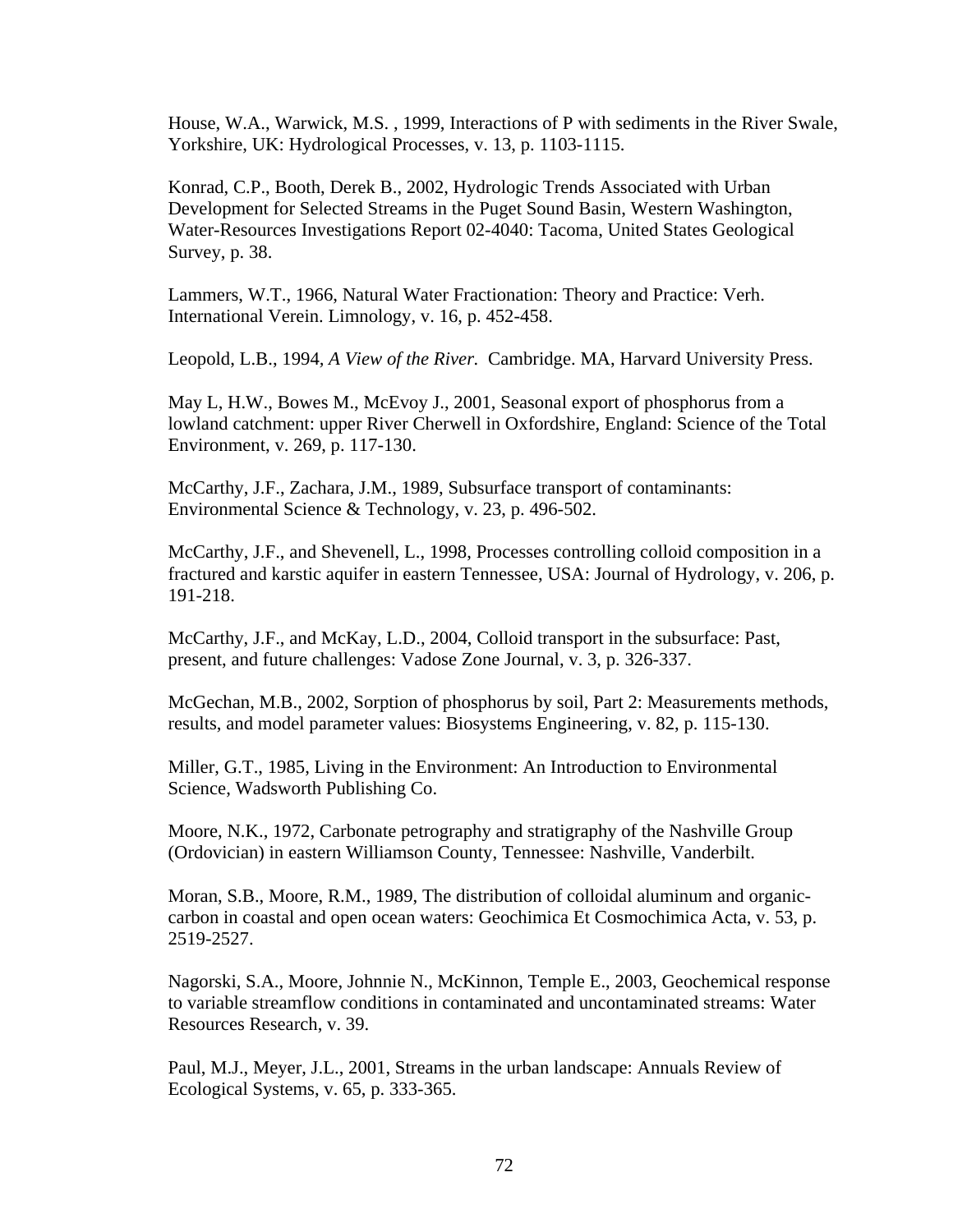House, W.A., Warwick, M.S. , 1999, Interactions of P with sediments in the River Swale, Yorkshire, UK: Hydrological Processes, v. 13, p. 1103-1115.

Konrad, C.P., Booth, Derek B., 2002, Hydrologic Trends Associated with Urban Development for Selected Streams in the Puget Sound Basin, Western Washington, Water-Resources Investigations Report 02-4040: Tacoma, United States Geological Survey, p. 38.

Lammers, W.T., 1966, Natural Water Fractionation: Theory and Practice: Verh. International Verein. Limnology, v. 16, p. 452-458.

Leopold, L.B., 1994*, A View of the River.* Cambridge. MA, Harvard University Press.

May L, H.W., Bowes M., McEvoy J., 2001, Seasonal export of phosphorus from a lowland catchment: upper River Cherwell in Oxfordshire, England: Science of the Total Environment, v. 269, p. 117-130.

McCarthy, J.F., Zachara, J.M., 1989, Subsurface transport of contaminants: Environmental Science & Technology, v. 23, p. 496-502.

McCarthy, J.F., and Shevenell, L., 1998, Processes controlling colloid composition in a fractured and karstic aquifer in eastern Tennessee, USA: Journal of Hydrology, v. 206, p. 191-218.

McCarthy, J.F., and McKay, L.D., 2004, Colloid transport in the subsurface: Past, present, and future challenges: Vadose Zone Journal, v. 3, p. 326-337.

McGechan, M.B., 2002, Sorption of phosphorus by soil, Part 2: Measurements methods, results, and model parameter values: Biosystems Engineering, v. 82, p. 115-130.

Miller, G.T., 1985, Living in the Environment: An Introduction to Environmental Science, Wadsworth Publishing Co.

Moore, N.K., 1972, Carbonate petrography and stratigraphy of the Nashville Group (Ordovician) in eastern Williamson County, Tennessee: Nashville, Vanderbilt.

Moran, S.B., Moore, R.M., 1989, The distribution of colloidal aluminum and organiccarbon in coastal and open ocean waters: Geochimica Et Cosmochimica Acta, v. 53, p. 2519-2527.

Nagorski, S.A., Moore, Johnnie N., McKinnon, Temple E., 2003, Geochemical response to variable streamflow conditions in contaminated and uncontaminated streams: Water Resources Research, v. 39.

Paul, M.J., Meyer, J.L., 2001, Streams in the urban landscape: Annuals Review of Ecological Systems, v. 65, p. 333-365.